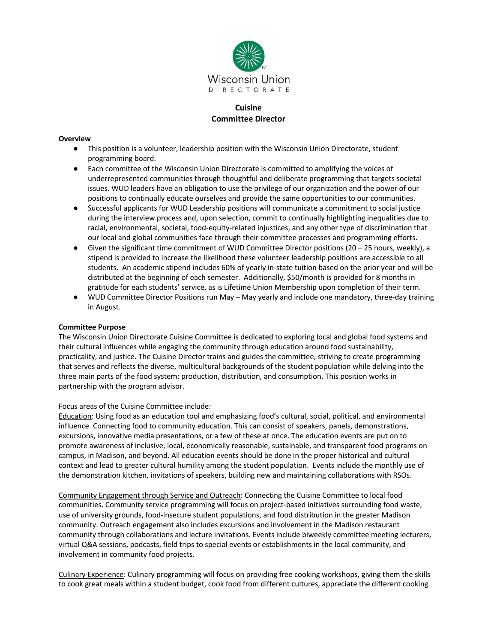

# **Cuisine Committee Director**

#### **Overview**

- This position is a volunteer, leadership position with the Wisconsin Union Directorate, student programming board.
- Each committee of the Wisconsin Union Directorate is committed to amplifying the voices of underrepresented communities through thoughtful and deliberate programming that targets societal issues. WUD leaders have an obligation to use the privilege of our organization and the power of our positions to continually educate ourselves and provide the same opportunities to our communities.
- Successful applicants for WUD Leadership positions will communicate a commitment to social justice during the interview process and, upon selection, commit to continually highlighting inequalities due to racial, environmental, societal, food-equity-related injustices, and any other type of discrimination that our local and global communities face through their committee processes and programming efforts.
- $\bullet$  Given the significant time commitment of WUD Committee Director positions (20 25 hours, weekly), a stipend is provided to increase the likelihood these volunteer leadership positions are accessible to all students. An academic stipend includes 60% of yearly in-state tuition based on the prior year and will be distributed at the beginning of each semester. Additionally, \$50/month is provided for 8 months in gratitude for each students' service, as is Lifetime Union Membership upon completion of their term.
- WUD Committee Director Positions run May May yearly and include one mandatory, three-day training in August.

### **Committee Purpose**

The Wisconsin Union Directorate Cuisine Committee is dedicated to exploring local and global food systems and their cultural influences while engaging the community through education around food sustainability, practicality, and justice. The Cuisine Director trains and guides the committee, striving to create programming that serves and reflects the diverse, multicultural backgrounds of the student population while delving into the three main parts of the food system: production, distribution, and consumption. This position works in partnership with the program advisor.

Focus areas of the Cuisine Committee include:

Education: Using food as an education tool and emphasizing food's cultural, social, political, and environmental influence. Connecting food to community education. This can consist of speakers, panels, demonstrations, excursions, innovative media presentations, or a few of these at once. The education events are put on to promote awareness of inclusive, local, economically reasonable, sustainable, and transparent food programs on campus, in Madison, and beyond. All education events should be done in the proper historical and cultural context and lead to greater cultural humility among the student population. Events include the monthly use of the demonstration kitchen, invitations of speakers, building new and maintaining collaborations with RSOs.

Community Engagement through Service and Outreach: Connecting the Cuisine Committee to local food communities. Community service programming will focus on project-based initiatives surrounding food waste, use of university grounds, food-insecure student populations, and food distribution in the greater Madison community. Outreach engagement also includes excursions and involvement in the Madison restaurant community through collaborations and lecture invitations. Events include biweekly committee meeting lecturers, virtual Q&A sessions, podcasts, field trips to special events or establishments in the local community, and involvement in community food projects.

Culinary Experience: Culinary programming will focus on providing free cooking workshops, giving them the skills to cook great meals within a student budget, cook food from different cultures, appreciate the different cooking